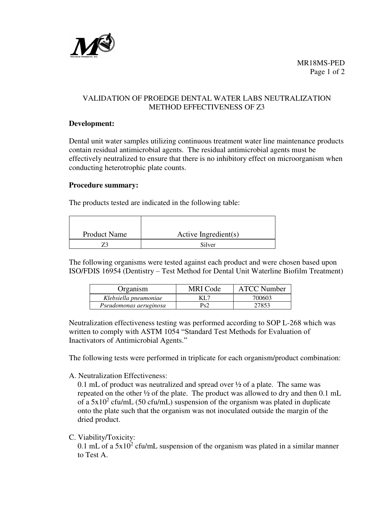

# VALIDATION OF PROEDGE DENTAL WATER LABS NEUTRALIZATION METHOD EFFECTIVENESS OF Z3

#### **Development:**

Dental unit water samples utilizing continuous treatment water line maintenance products contain residual antimicrobial agents. The residual antimicrobial agents must be effectively neutralized to ensure that there is no inhibitory effect on microorganism when conducting heterotrophic plate counts.

#### **Procedure summary:**

The products tested are indicated in the following table:

| <b>Product Name</b> | Active Ingredient(s) |
|---------------------|----------------------|
|                     | Silver               |

The following organisms were tested against each product and were chosen based upon ISO/FDIS 16954 (Dentistry – Test Method for Dental Unit Waterline Biofilm Treatment)

| Organism               | MRI Code | <b>ATCC Number</b> |
|------------------------|----------|--------------------|
| Klebsiella pneumoniae  | KL 7     | 700603             |
| Pseudomonas aeruginosa | Ps2      | 27853              |

Neutralization effectiveness testing was performed according to SOP L-268 which was written to comply with ASTM 1054 "Standard Test Methods for Evaluation of Inactivators of Antimicrobial Agents."

The following tests were performed in triplicate for each organism/product combination:

A. Neutralization Effectiveness:

0.1 mL of product was neutralized and spread over ½ of a plate. The same was repeated on the other ½ of the plate. The product was allowed to dry and then 0.1 mL of a  $5x10^2$  cfu/mL (50 cfu/mL) suspension of the organism was plated in duplicate onto the plate such that the organism was not inoculated outside the margin of the dried product.

C. Viability/Toxicity:

0.1 mL of a  $5x10^2$  cfu/mL suspension of the organism was plated in a similar manner to Test A.